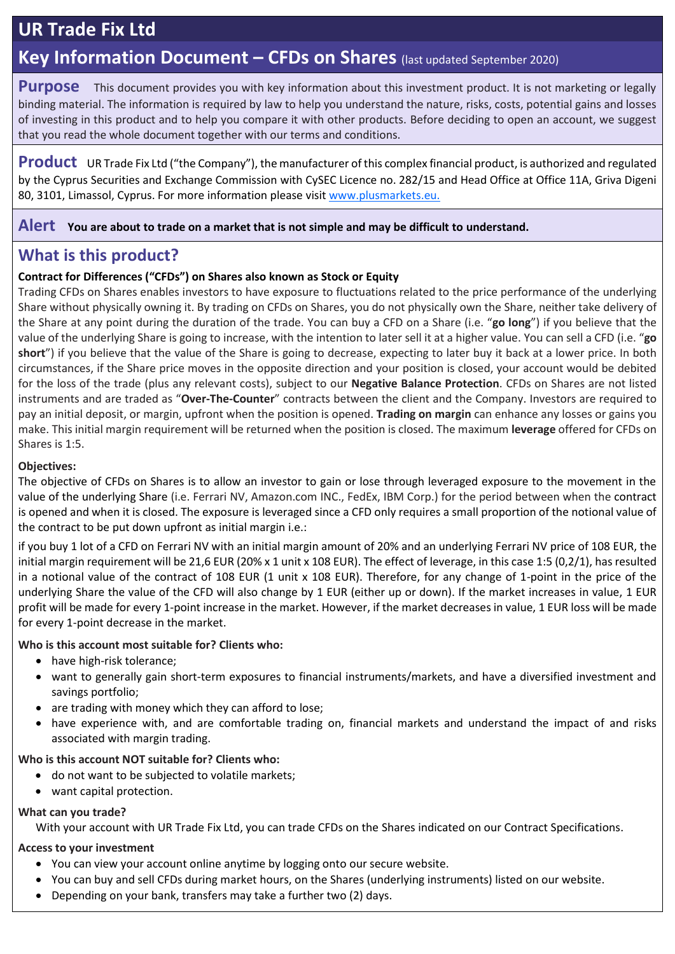# **UR Trade Fix Ltd**

### **Key Information Document – CFDs on Shares** (last updated September 2020)

**Purpose** This document provides you with key information about this investment product. It is not marketing or legally binding material. The information is required by law to help you understand the nature, risks, costs, potential gains and losses of investing in this product and to help you compare it with other products. Before deciding to open an account, we suggest that you read the whole document together with our terms and conditions.

**Product** UR Trade Fix Ltd ("the Company"), the manufacturer of this complex financial product, is authorized and regulated by the Cyprus Securities and Exchange Commission with CySEC Licence no. 282/15 and Head Office at Office 11A, Griva Digeni 80, 3101, Limassol, Cyprus. For more information please visit [www.plusmarkets.](http://www.tradeo.com/)eu.

**Alert You are about to trade on a market that is not simple and may be difficult to understand.**

### **What is this product?**

#### **Contract for Differences ("CFDs") on Shares also known as Stock or Equity**

Trading CFDs on Shares enables investors to have exposure to fluctuations related to the price performance of the underlying Share without physically owning it. By trading on CFDs on Shares, you do not physically own the Share, neither take delivery of the Share at any point during the duration of the trade. You can buy a CFD on a Share (i.e. "**go long**") if you believe that the value of the underlying Share is going to increase, with the intention to later sell it at a higher value. You can sell a CFD (i.e. "**go short**") if you believe that the value of the Share is going to decrease, expecting to later buy it back at a lower price. In both circumstances, if the Share price moves in the opposite direction and your position is closed, your account would be debited for the loss of the trade (plus any relevant costs), subject to our **Negative Balance Protection**. CFDs on Shares are not listed instruments and are traded as "**Over-The-Counter**" contracts between the client and the Company. Investors are required to pay an initial deposit, or margin, upfront when the position is opened. **Trading on margin** can enhance any losses or gains you make. This initial margin requirement will be returned when the position is closed. The maximum **leverage** offered for CFDs on Shares is 1:5.

#### **Objectives:**

The objective of CFDs on Shares is to allow an investor to gain or lose through leveraged exposure to the movement in the value of the underlying Share (i.e. Ferrari NV, Amazon.com INC., FedEx, IBM Corp.) for the period between when the contract is opened and when it is closed. The exposure is leveraged since a CFD only requires a small proportion of the notional value of the contract to be put down upfront as initial margin i.e.:

if you buy 1 lot of a CFD on Ferrari NV with an initial margin amount of 20% and an underlying Ferrari NV price of 108 EUR, the initial margin requirement will be 21,6 EUR (20% x 1 unit x 108 EUR). The effect of leverage, in this case 1:5 (0,2/1), has resulted in a notional value of the contract of 108 EUR (1 unit x 108 EUR). Therefore, for any change of 1-point in the price of the underlying Share the value of the CFD will also change by 1 EUR (either up or down). If the market increases in value, 1 EUR profit will be made for every 1-point increase in the market. However, if the market decreases in value, 1 EUR loss will be made for every 1-point decrease in the market.

**Who is this account most suitable for? Clients who:**

- have high-risk tolerance;
- want to generally gain short-term exposures to financial instruments/markets, and have a diversified investment and savings portfolio;
- are trading with money which they can afford to lose;
- have experience with, and are comfortable trading on, financial markets and understand the impact of and risks associated with margin trading.

#### **Who is this account NOT suitable for? Clients who:**

- do not want to be subjected to volatile markets;
- want capital protection.

#### **What can you trade?**

With your account with UR Trade Fix Ltd, you can trade CFDs on the Shares indicated on our Contract Specifications.

#### **Access to your investment**

- You can view your account online anytime by logging onto our secure website.
- You can buy and sell CFDs during market hours, on the Shares (underlying instruments) listed on our website.
- Depending on your bank, transfers may take a further two (2) days.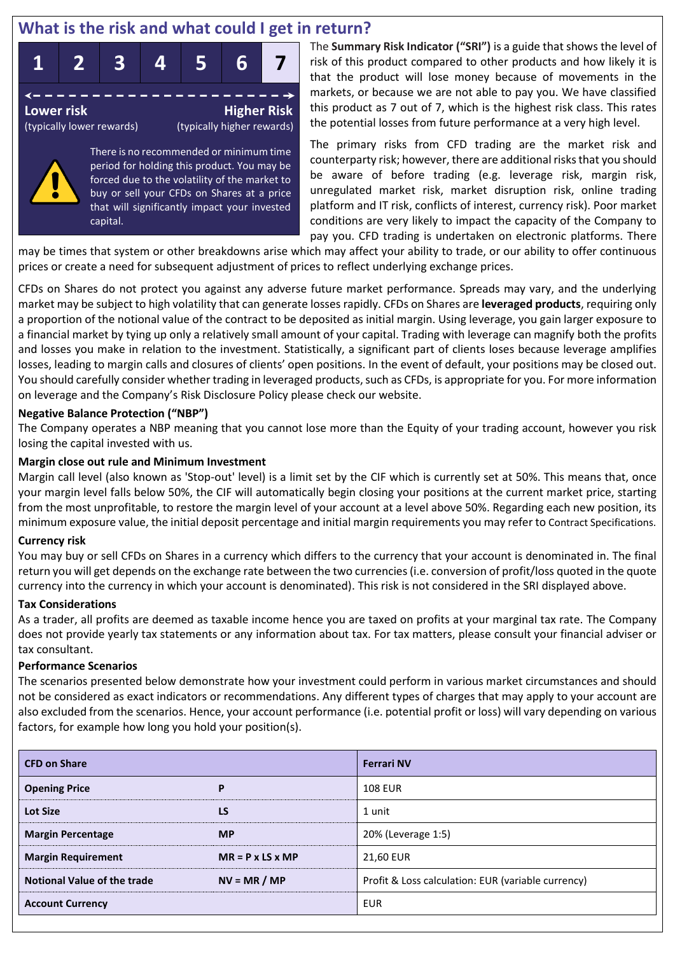### **What is the risk and what could I get in return?**





There is no recommended or minimum time period for holding this product. You may be forced due to the volatility of the market to buy or sell your CFDs on Shares at a price that will significantly impact your invested capital.

The **Summary Risk Indicator ("SRI")** is a guide that shows the level of risk of this product compared to other products and how likely it is that the product will lose money because of movements in the markets, or because we are not able to pay you. We have classified this product as 7 out of 7, which is the highest risk class. This rates the potential losses from future performance at a very high level.

The primary risks from CFD trading are the market risk and counterparty risk; however, there are additional risks that you should be aware of before trading (e.g. leverage risk, margin risk, unregulated market risk, market disruption risk, online trading platform and IT risk, conflicts of interest, currency risk). Poor market conditions are very likely to impact the capacity of the Company to pay you. CFD trading is undertaken on electronic platforms. There

may be times that system or other breakdowns arise which may affect your ability to trade, or our ability to offer continuous prices or create a need for subsequent adjustment of prices to reflect underlying exchange prices.

CFDs on Shares do not protect you against any adverse future market performance. Spreads may vary, and the underlying market may be subject to high volatility that can generate losses rapidly. CFDs on Shares are **leveraged products**, requiring only a proportion of the notional value of the contract to be deposited as initial margin. Using leverage, you gain larger exposure to a financial market by tying up only a relatively small amount of your capital. Trading with leverage can magnify both the profits and losses you make in relation to the investment. Statistically, a significant part of clients loses because leverage amplifies losses, leading to margin calls and closures of clients' open positions. In the event of default, your positions may be closed out. You should carefully consider whether trading in leveraged products, such as CFDs, is appropriate for you. For more information on leverage and the Company's Risk Disclosure Policy please check our website.

#### **Negative Balance Protection ("NBP")**

The Company operates a NBP meaning that you cannot lose more than the Equity of your trading account, however you risk losing the capital invested with us.

#### **Margin close out rule and Minimum Investment**

Margin call level (also known as 'Stop-out' level) is a limit set by the CIF which is currently set at 50%. This means that, once your margin level falls below 50%, the CIF will automatically begin closing your positions at the current market price, starting from the most unprofitable, to restore the margin level of your account at a level above 50%. Regarding each new position, its minimum exposure value, the initial deposit percentage and initial margin requirements you may refer to Contract Specifications.

#### **Currency risk**

You may buy or sell CFDs on Shares in a currency which differs to the currency that your account is denominated in. The final return you will get depends on the exchange rate between the two currencies (i.e. conversion of profit/loss quoted in the quote currency into the currency in which your account is denominated). This risk is not considered in the SRI displayed above.

#### **Tax Considerations**

As a trader, all profits are deemed as taxable income hence you are taxed on profits at your marginal tax rate. The Company does not provide yearly tax statements or any information about tax. For tax matters, please consult your financial adviser or tax consultant.

#### **Performance Scenarios**

The scenarios presented below demonstrate how your investment could perform in various market circumstances and should not be considered as exact indicators or recommendations. Any different types of charges that may apply to your account are also excluded from the scenarios. Hence, your account performance (i.e. potential profit or loss) will vary depending on various factors, for example how long you hold your position(s).

| <b>CFD on Share</b>                |                              | <b>Ferrari NV</b>                                  |  |  |
|------------------------------------|------------------------------|----------------------------------------------------|--|--|
| <b>Opening Price</b>               | P                            | <b>108 EUR</b>                                     |  |  |
| <b>Lot Size</b>                    | LS                           | 1 unit                                             |  |  |
| <b>Margin Percentage</b>           | <b>MP</b>                    | 20% (Leverage 1:5)                                 |  |  |
| <b>Margin Requirement</b>          | $MR = P \times LS \times MP$ | 21,60 EUR                                          |  |  |
| <b>Notional Value of the trade</b> | $NV = MR / MP$               | Profit & Loss calculation: EUR (variable currency) |  |  |
| <b>Account Currency</b>            |                              | <b>EUR</b>                                         |  |  |